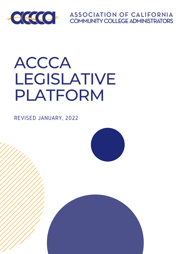

**ASSOCIATION OF CALIFORNIA COMMUNITY COLLEGE ADMINISTRATORS** 

# ACCCA LEGISLATIVE PLATFORM

REVISED JANUARY, 2022



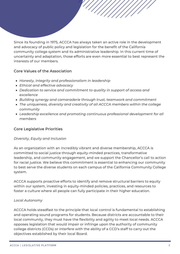Since its founding in 1975, ACCCA has always taken an active role in the development and advocacy of public policy and legislation for the benefit of the California community college system and its administrative leadership. In this current time of uncertainty and adaptation, those efforts are even more essential to best represent the interests of our members.

# Core Values of the Association

- *Honesty, integrity and professionalism in leadership*
- *Ethical and effective advocacy*
- *Dedication to service and commitment to quality in support of access and excellence*
- *Building synergy and camaraderie through trust, teamwork and commitment*
- *The uniqueness, diversity and creativity of all ACCCA members within the college community*
- *Leadership excellence and promoting continuous professional development for all members*

# Core Legislative Priorities

# *Diversity, Equity and Inclusion*

As an organization with an incredibly vibrant and diverse membership, ACCCA is committed to social justice through equity-minded practices, transformative leadership, and community engagement, and we support the Chancellor's call to action for racial justice. We believe this commitment is essential to enhancing our community to best serve the diverse students on each campus of the California Community College system.

ACCCA supports proactive efforts to identify and remove structural barriers to equity within our system, investing in equity-minded policies, practices, and resources to foster a culture where all people can fully participate in their higher education.

# *Local Autonomy*

ACCCA holds steadfast to the principle that local control is fundamental to establishing and operating sound programs for students. Because districts are accountable to their local community, they must have the flexibility and agility to meet local needs. ACCCA opposes legislation that would impair or infringe upon the authority of community college districts (CCDs) or interfere with the ability of a CCD's staff to carry out the objectives established by their local Board.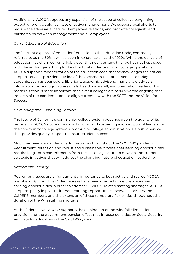Additionally, ACCCA opposes any expansion of the scope of collective bargaining, except where it would facilitate effective management. We support local efforts to reduce the adversarial nature of employee relations, and promote collegiality and partnerships between management and all employees.

#### *Current Expense of Education*

The "current expense of education" provision in the Education Code, commonly referred to as the 50% law, has been in existence since the 1920s. While the delivery of education has changed remarkably over this near century, this law has not kept pace with these changes adding to the structural underfunding of college operations. ACCCA supports modernization of the education code that acknowledges the critical support services provided outside of the classroom that are essential to today's students, such as counselors, librarians, academic advisors, financial aid advisors, information technology professionals, health care staff, and orientation leaders. This modernization is more important than ever if colleges are to survive the ongoing fiscal impacts of the pandemic, and to align current law with the SCFF and the Vision for Success.

# *Developing and Sustaining Leaders*

The future of California's community college system depends upon the quality of its leadership. ACCCA's core mission is building and sustaining a robust pool of leaders for the community college system. Community college administration is a public service that provides quality support to ensure student success.

Much has been demanded of administrators throughout the COVID-19 pandemic. Recruitment, retention and robust and sustainable professional learning opportunities require long-term commitments from the state Legislature to develop and support strategic initiatives that will address the changing nature of education leadership.

# *Retirement Security*

Retirement issues are of fundamental importance to both active and retired ACCCA members. By Executive Order, retirees have been granted more post-retirement earning opportunities in order to address COVID-19-related staffing shortages. ACCCA supports parity in post-retirement earnings opportunities between CalSTRS and CalPERS members, and the extension of these temporary flexibilities throughout the duration of the K-14 staffing shortage.

At the federal level, ACCCA supports the elimination of the windfall elimination provision and the government pension offset that impose penalties on Social Security earnings for educators in the CalSTRS system.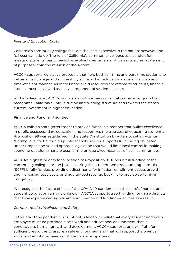#### *Fees and Education Costs*

California's community college fees are the least expensive in the nation; however, the full cost can add up. The role of California's community colleges as a conduit for meeting students' basic needs has evolved over time and it warrants a clear statement of purpose within the mission of the system.

ACCCA supports legislative proposals that help both full-time and part-time students to better afford college and successfully achieve their educational goals in a cost- and time-efficient manner. As more financial aid resources are offered to students, financial literacy must be viewed as a key component of student success.

At the federal level, ACCCA supports a tuition-free community college program that recognizes California's unique tuition and funding structure and rewards the state's current investment in higher education.

#### Finance and Funding Priorities

ACCCA calls on state government to provide funds in a manner that builds excellence in public postsecondary education and recognizes the true cost of educating students. Proposition 98 was established in the State Constitution by voters to set a *minimum funding level* for California's public schools. ACCCA supports full funding obligated under Proposition 98 and opposes legislation that would limit local control in making spending decisions that are best for the unique circumstances of local communities.

ACCCA's highest priority for allocation of Proposition 98 funds is full funding of the community college portion [11%]; ensuring the Student Centered Funding Formula [SCFF] is fully funded; providing adjustments for inflation, enrollment access growth, and increasing base costs; and guaranteed revenue backfills to provide certainty in budgeting.

We recognize the future effects of the COVID-19 pandemic on the state's finances and student population remains unknown. ACCCA supports a soft landing for those districts that have experienced significant enrollment—and funding—declines as a result.

#### *Campus Health, Wellness, and Safety*

In this era of the pandemic, ACCCA holds fast to its belief that every student and every employee must be provided a safe work and educational environment that is conducive to human growth and development. ACCCA supports, and will fight for sufficient resources to assure a safe environment and that will support the physical, social and emotional needs of students and employees.